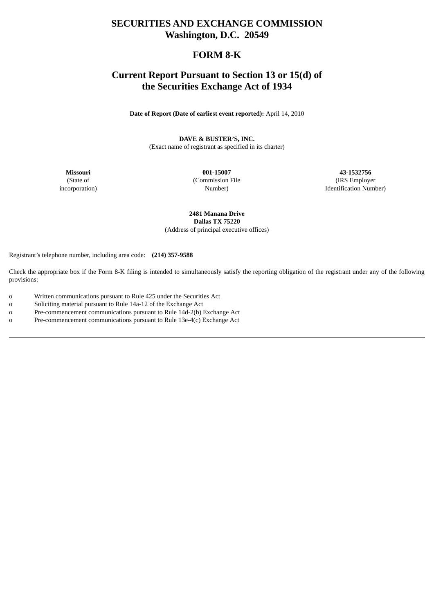## **SECURITIES AND EXCHANGE COMMISSION Washington, D.C. 20549**

## **FORM 8-K**

## **Current Report Pursuant to Section 13 or 15(d) of the Securities Exchange Act of 1934**

**Date of Report (Date of earliest event reported):** April 14, 2010

**DAVE & BUSTER'S, INC.**

(Exact name of registrant as specified in its charter)

**Missouri** (State of incorporation)

**001-15007** (Commission File Number)

**43-1532756** (IRS Employer Identification Number)

**2481 Manana Drive Dallas TX 75220** (Address of principal executive offices)

Registrant's telephone number, including area code: **(214) 357-9588**

Check the appropriate box if the Form 8-K filing is intended to simultaneously satisfy the reporting obligation of the registrant under any of the following provisions:

- o Written communications pursuant to Rule 425 under the Securities Act
- o Soliciting material pursuant to Rule 14a-12 of the Exchange Act
- o Pre-commencement communications pursuant to Rule 14d-2(b) Exchange Act
- o Pre-commencement communications pursuant to Rule 13e-4(c) Exchange Act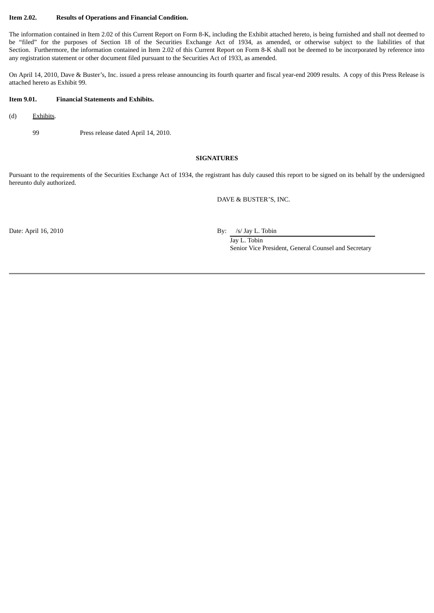#### **Item 2.02. Results of Operations and Financial Condition.**

The information contained in Item 2.02 of this Current Report on Form 8-K, including the Exhibit attached hereto, is being furnished and shall not deemed to be "filed" for the purposes of Section 18 of the Securities Exchange Act of 1934, as amended, or otherwise subject to the liabilities of that Section. Furthermore, the information contained in Item 2.02 of this Current Report on Form 8-K shall not be deemed to be incorporated by reference into any registration statement or other document filed pursuant to the Securities Act of 1933, as amended.

On April 14, 2010, Dave & Buster's, Inc. issued a press release announcing its fourth quarter and fiscal year-end 2009 results. A copy of this Press Release is attached hereto as Exhibit 99.

## **Item 9.01. Financial Statements and Exhibits.**

- (d) Exhibits.
	- 99 Press release dated April 14, 2010.

### **SIGNATURES**

Pursuant to the requirements of the Securities Exchange Act of 1934, the registrant has duly caused this report to be signed on its behalf by the undersigned hereunto duly authorized.

DAVE & BUSTER'S, INC.

Date: April 16, 2010 By: /s/ Jay L. Tobin

Jay L. Tobin Senior Vice President, General Counsel and Secretary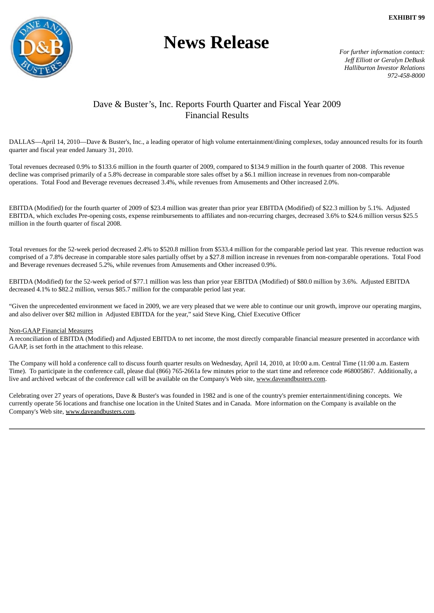

# **News Release**

*For further information contact: Jeff Elliott or Geralyn DeBusk Halliburton Investor Relations 972-458-8000*

## Dave & Buster's, Inc. Reports Fourth Quarter and Fiscal Year 2009 Financial Results

DALLAS—April 14, 2010—Dave & Buster's, Inc., a leading operator of high volume entertainment/dining complexes, today announced results for its fourth quarter and fiscal year ended January 31, 2010.

Total revenues decreased 0.9% to \$133.6 million in the fourth quarter of 2009, compared to \$134.9 million in the fourth quarter of 2008. This revenue decline was comprised primarily of a 5.8% decrease in comparable store sales offset by a \$6.1 million increase in revenues from non-comparable operations. Total Food and Beverage revenues decreased 3.4%, while revenues from Amusements and Other increased 2.0%.

EBITDA (Modified) for the fourth quarter of 2009 of \$23.4 million was greater than prior year EBITDA (Modified) of \$22.3 million by 5.1%. Adjusted EBITDA, which excludes Pre-opening costs, expense reimbursements to affiliates and non-recurring charges, decreased 3.6% to \$24.6 million versus \$25.5 million in the fourth quarter of fiscal 2008.

Total revenues for the 52-week period decreased 2.4% to \$520.8 million from \$533.4 million for the comparable period last year. This revenue reduction was comprised of a 7.8% decrease in comparable store sales partially offset by a \$27.8 million increase in revenues from non-comparable operations. Total Food and Beverage revenues decreased 5.2%, while revenues from Amusements and Other increased 0.9%.

EBITDA (Modified) for the 52-week period of \$77.1 million was less than prior year EBITDA (Modified) of \$80.0 million by 3.6%. Adjusted EBITDA decreased 4.1% to \$82.2 million, versus \$85.7 million for the comparable period last year.

"Given the unprecedented environment we faced in 2009, we are very pleased that we were able to continue our unit growth, improve our operating margins, and also deliver over \$82 million in Adjusted EBITDA for the year," said Steve King, Chief Executive Officer

#### Non-GAAP Financial Measures

A reconciliation of EBITDA (Modified) and Adjusted EBITDA to net income, the most directly comparable financial measure presented in accordance with GAAP, is set forth in the attachment to this release.

The Company will hold a conference call to discuss fourth quarter results on Wednesday, April 14, 2010, at 10:00 a.m. Central Time (11:00 a.m. Eastern Time). To participate in the conference call, please dial (866) 765-2661a few minutes prior to the start time and reference code #68005867. Additionally, a live and archived webcast of the conference call will be available on the Company's Web site, www.daveandbusters.com.

Celebrating over 27 years of operations, Dave & Buster's was founded in 1982 and is one of the country's premier entertainment/dining concepts. We currently operate 56 locations and franchise one location in the United States and in Canada. More information on the Company is available on the Company's Web site, www.daveandbusters.com.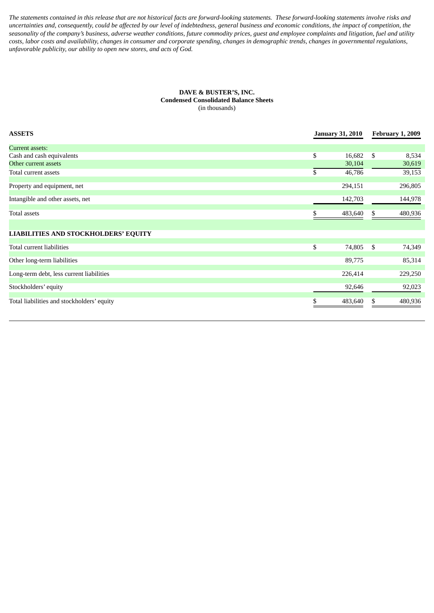The statements contained in this release that are not historical facts are forward-looking statements. These forward-looking statements involve risks and uncertainties and, consequently, could be affected by our level of indebtedness, general business and economic conditions, the impact of competition, the seasonality of the company's business, adverse weather conditions, future commodity prices, guest and employee complaints and litigation, fuel and utility costs, labor costs and availability, changes in consumer and corporate spending, changes in demographic trends, changes in governmental regulations, *unfavorable publicity, our ability to open new stores, and acts of God.*

#### **DAVE & BUSTER'S, INC. Condensed Consolidated Balance Sheets** (in thousands)

| <b>ASSETS</b>                               | <b>January 31, 2010</b> |         | <b>February 1, 2009</b> |         |
|---------------------------------------------|-------------------------|---------|-------------------------|---------|
| Current assets:                             |                         |         |                         |         |
| Cash and cash equivalents                   | \$                      | 16,682  | \$                      | 8,534   |
| Other current assets                        |                         | 30,104  |                         | 30,619  |
| Total current assets                        | \$                      | 46,786  |                         | 39,153  |
| Property and equipment, net                 |                         | 294,151 |                         | 296,805 |
| Intangible and other assets, net            |                         | 142,703 |                         | 144,978 |
| Total assets                                | S.                      | 483,640 | S.                      | 480,936 |
| <b>LIABILITIES AND STOCKHOLDERS' EQUITY</b> |                         |         |                         |         |
| Total current liabilities                   | \$                      | 74,805  | - \$                    | 74,349  |
| Other long-term liabilities                 |                         | 89,775  |                         | 85,314  |
| Long-term debt, less current liabilities    |                         | 226,414 |                         | 229,250 |
| Stockholders' equity                        |                         | 92,646  |                         | 92,023  |
| Total liabilities and stockholders' equity  |                         | 483,640 | \$                      | 480,936 |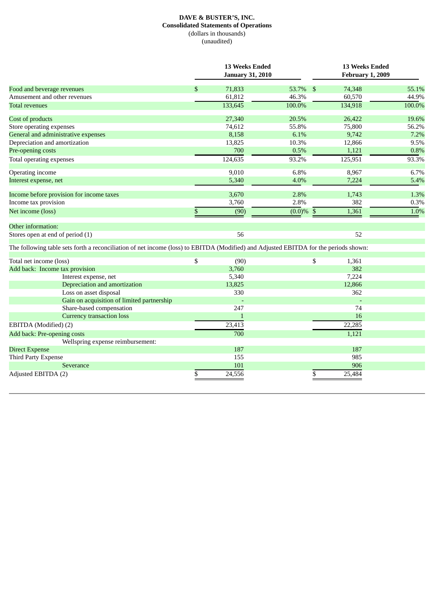## **DAVE & BUSTER'S, INC. Consolidated Statements of Operations** (dollars in thousands) (unaudited)

| 53.7%<br>Food and beverage revenues<br>\$<br>71,833<br>74,348<br>-\$<br>Amusement and other revenues<br>61,812<br>46.3%<br>60,570<br>133,645<br>100.0%<br>134,918<br>27,340<br>20.5%<br>26,422<br>Cost of products<br>74,612<br>55.8%<br>75,800<br>Store operating expenses<br>6.1%<br>9,742<br>General and administrative expenses<br>8,158<br>Depreciation and amortization<br>13,825<br>10.3%<br>12,866<br>700<br>0.5%<br>1,121<br>124,635<br>93.2%<br>125,951<br>6.8%<br>9,010<br>8,967<br>Operating income<br>5,340<br>4.0%<br>7,224<br>Income before provision for income taxes<br>3,670<br>2.8%<br>1,743<br>2.8%<br>382<br>3,760<br>$\overline{(0.0)}\%$ \$<br>\$<br>1,361<br>(90)<br>Other information:<br>56<br>52<br>Stores open at end of period (1)<br>\$<br>(90)<br>\$<br>1,361<br>3,760<br>382<br>Add back: Income tax provision<br>5,340<br>7,224<br>Interest expense, net<br>Depreciation and amortization<br>13,825<br>12,866<br>330<br>Loss on asset disposal<br>362<br>Gain on acquisition of limited partnership<br>Share-based compensation<br>247<br>74<br><b>Currency transaction loss</b><br>16<br>$\mathbf{1}$<br>23,413<br>22,285<br>700<br>1,121<br>Add back: Pre-opening costs<br>Wellspring expense reimbursement:<br>187<br>187<br><b>Direct Expense</b><br>985<br>155<br><b>Third Party Expense</b><br>101<br>906<br>Severance<br>Adjusted EBITDA (2)<br>\$<br>24,556<br>25,484<br>\$ |  | 13 Weeks Ended<br><b>January 31, 2010</b> |  |  | <b>13 Weeks Ended</b><br><b>February 1, 2009</b> |        |  |
|----------------------------------------------------------------------------------------------------------------------------------------------------------------------------------------------------------------------------------------------------------------------------------------------------------------------------------------------------------------------------------------------------------------------------------------------------------------------------------------------------------------------------------------------------------------------------------------------------------------------------------------------------------------------------------------------------------------------------------------------------------------------------------------------------------------------------------------------------------------------------------------------------------------------------------------------------------------------------------------------------------------------------------------------------------------------------------------------------------------------------------------------------------------------------------------------------------------------------------------------------------------------------------------------------------------------------------------------------------------------------------------------------------------------|--|-------------------------------------------|--|--|--------------------------------------------------|--------|--|
|                                                                                                                                                                                                                                                                                                                                                                                                                                                                                                                                                                                                                                                                                                                                                                                                                                                                                                                                                                                                                                                                                                                                                                                                                                                                                                                                                                                                                      |  |                                           |  |  |                                                  | 55.1%  |  |
| <b>Total revenues</b><br>Pre-opening costs<br>Total operating expenses<br>Interest expense, net<br>Income tax provision<br>Net income (loss)<br>The following table sets forth a reconciliation of net income (loss) to EBITDA (Modified) and Adjusted EBITDA for the periods shown:<br>Total net income (loss)<br>EBITDA (Modified) (2)                                                                                                                                                                                                                                                                                                                                                                                                                                                                                                                                                                                                                                                                                                                                                                                                                                                                                                                                                                                                                                                                             |  |                                           |  |  |                                                  | 44.9%  |  |
|                                                                                                                                                                                                                                                                                                                                                                                                                                                                                                                                                                                                                                                                                                                                                                                                                                                                                                                                                                                                                                                                                                                                                                                                                                                                                                                                                                                                                      |  |                                           |  |  |                                                  | 100.0% |  |
|                                                                                                                                                                                                                                                                                                                                                                                                                                                                                                                                                                                                                                                                                                                                                                                                                                                                                                                                                                                                                                                                                                                                                                                                                                                                                                                                                                                                                      |  |                                           |  |  |                                                  | 19.6%  |  |
|                                                                                                                                                                                                                                                                                                                                                                                                                                                                                                                                                                                                                                                                                                                                                                                                                                                                                                                                                                                                                                                                                                                                                                                                                                                                                                                                                                                                                      |  |                                           |  |  |                                                  | 56.2%  |  |
|                                                                                                                                                                                                                                                                                                                                                                                                                                                                                                                                                                                                                                                                                                                                                                                                                                                                                                                                                                                                                                                                                                                                                                                                                                                                                                                                                                                                                      |  |                                           |  |  |                                                  | 7.2%   |  |
|                                                                                                                                                                                                                                                                                                                                                                                                                                                                                                                                                                                                                                                                                                                                                                                                                                                                                                                                                                                                                                                                                                                                                                                                                                                                                                                                                                                                                      |  |                                           |  |  |                                                  | 9.5%   |  |
|                                                                                                                                                                                                                                                                                                                                                                                                                                                                                                                                                                                                                                                                                                                                                                                                                                                                                                                                                                                                                                                                                                                                                                                                                                                                                                                                                                                                                      |  |                                           |  |  |                                                  | 0.8%   |  |
|                                                                                                                                                                                                                                                                                                                                                                                                                                                                                                                                                                                                                                                                                                                                                                                                                                                                                                                                                                                                                                                                                                                                                                                                                                                                                                                                                                                                                      |  |                                           |  |  |                                                  | 93.3%  |  |
|                                                                                                                                                                                                                                                                                                                                                                                                                                                                                                                                                                                                                                                                                                                                                                                                                                                                                                                                                                                                                                                                                                                                                                                                                                                                                                                                                                                                                      |  |                                           |  |  |                                                  | 6.7%   |  |
|                                                                                                                                                                                                                                                                                                                                                                                                                                                                                                                                                                                                                                                                                                                                                                                                                                                                                                                                                                                                                                                                                                                                                                                                                                                                                                                                                                                                                      |  |                                           |  |  |                                                  | 5.4%   |  |
|                                                                                                                                                                                                                                                                                                                                                                                                                                                                                                                                                                                                                                                                                                                                                                                                                                                                                                                                                                                                                                                                                                                                                                                                                                                                                                                                                                                                                      |  |                                           |  |  |                                                  | 1.3%   |  |
|                                                                                                                                                                                                                                                                                                                                                                                                                                                                                                                                                                                                                                                                                                                                                                                                                                                                                                                                                                                                                                                                                                                                                                                                                                                                                                                                                                                                                      |  |                                           |  |  |                                                  | 0.3%   |  |
|                                                                                                                                                                                                                                                                                                                                                                                                                                                                                                                                                                                                                                                                                                                                                                                                                                                                                                                                                                                                                                                                                                                                                                                                                                                                                                                                                                                                                      |  |                                           |  |  |                                                  | 1.0%   |  |
|                                                                                                                                                                                                                                                                                                                                                                                                                                                                                                                                                                                                                                                                                                                                                                                                                                                                                                                                                                                                                                                                                                                                                                                                                                                                                                                                                                                                                      |  |                                           |  |  |                                                  |        |  |
|                                                                                                                                                                                                                                                                                                                                                                                                                                                                                                                                                                                                                                                                                                                                                                                                                                                                                                                                                                                                                                                                                                                                                                                                                                                                                                                                                                                                                      |  |                                           |  |  |                                                  |        |  |
|                                                                                                                                                                                                                                                                                                                                                                                                                                                                                                                                                                                                                                                                                                                                                                                                                                                                                                                                                                                                                                                                                                                                                                                                                                                                                                                                                                                                                      |  |                                           |  |  |                                                  |        |  |
|                                                                                                                                                                                                                                                                                                                                                                                                                                                                                                                                                                                                                                                                                                                                                                                                                                                                                                                                                                                                                                                                                                                                                                                                                                                                                                                                                                                                                      |  |                                           |  |  |                                                  |        |  |
|                                                                                                                                                                                                                                                                                                                                                                                                                                                                                                                                                                                                                                                                                                                                                                                                                                                                                                                                                                                                                                                                                                                                                                                                                                                                                                                                                                                                                      |  |                                           |  |  |                                                  |        |  |
|                                                                                                                                                                                                                                                                                                                                                                                                                                                                                                                                                                                                                                                                                                                                                                                                                                                                                                                                                                                                                                                                                                                                                                                                                                                                                                                                                                                                                      |  |                                           |  |  |                                                  |        |  |
|                                                                                                                                                                                                                                                                                                                                                                                                                                                                                                                                                                                                                                                                                                                                                                                                                                                                                                                                                                                                                                                                                                                                                                                                                                                                                                                                                                                                                      |  |                                           |  |  |                                                  |        |  |
|                                                                                                                                                                                                                                                                                                                                                                                                                                                                                                                                                                                                                                                                                                                                                                                                                                                                                                                                                                                                                                                                                                                                                                                                                                                                                                                                                                                                                      |  |                                           |  |  |                                                  |        |  |
|                                                                                                                                                                                                                                                                                                                                                                                                                                                                                                                                                                                                                                                                                                                                                                                                                                                                                                                                                                                                                                                                                                                                                                                                                                                                                                                                                                                                                      |  |                                           |  |  |                                                  |        |  |
|                                                                                                                                                                                                                                                                                                                                                                                                                                                                                                                                                                                                                                                                                                                                                                                                                                                                                                                                                                                                                                                                                                                                                                                                                                                                                                                                                                                                                      |  |                                           |  |  |                                                  |        |  |
|                                                                                                                                                                                                                                                                                                                                                                                                                                                                                                                                                                                                                                                                                                                                                                                                                                                                                                                                                                                                                                                                                                                                                                                                                                                                                                                                                                                                                      |  |                                           |  |  |                                                  |        |  |
|                                                                                                                                                                                                                                                                                                                                                                                                                                                                                                                                                                                                                                                                                                                                                                                                                                                                                                                                                                                                                                                                                                                                                                                                                                                                                                                                                                                                                      |  |                                           |  |  |                                                  |        |  |
|                                                                                                                                                                                                                                                                                                                                                                                                                                                                                                                                                                                                                                                                                                                                                                                                                                                                                                                                                                                                                                                                                                                                                                                                                                                                                                                                                                                                                      |  |                                           |  |  |                                                  |        |  |
|                                                                                                                                                                                                                                                                                                                                                                                                                                                                                                                                                                                                                                                                                                                                                                                                                                                                                                                                                                                                                                                                                                                                                                                                                                                                                                                                                                                                                      |  |                                           |  |  |                                                  |        |  |
|                                                                                                                                                                                                                                                                                                                                                                                                                                                                                                                                                                                                                                                                                                                                                                                                                                                                                                                                                                                                                                                                                                                                                                                                                                                                                                                                                                                                                      |  |                                           |  |  |                                                  |        |  |
|                                                                                                                                                                                                                                                                                                                                                                                                                                                                                                                                                                                                                                                                                                                                                                                                                                                                                                                                                                                                                                                                                                                                                                                                                                                                                                                                                                                                                      |  |                                           |  |  |                                                  |        |  |
|                                                                                                                                                                                                                                                                                                                                                                                                                                                                                                                                                                                                                                                                                                                                                                                                                                                                                                                                                                                                                                                                                                                                                                                                                                                                                                                                                                                                                      |  |                                           |  |  |                                                  |        |  |
|                                                                                                                                                                                                                                                                                                                                                                                                                                                                                                                                                                                                                                                                                                                                                                                                                                                                                                                                                                                                                                                                                                                                                                                                                                                                                                                                                                                                                      |  |                                           |  |  |                                                  |        |  |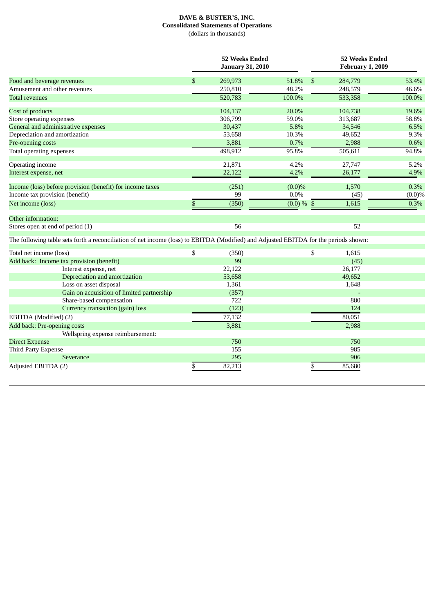## **DAVE & BUSTER'S, INC. Consolidated Statements of Operations** (dollars in thousands)

|                                                                                                                                      |    | <b>52 Weeks Ended</b><br><b>January 31, 2010</b> |               |    | <b>52 Weeks Ended</b><br><b>February 1, 2009</b> |           |  |  |
|--------------------------------------------------------------------------------------------------------------------------------------|----|--------------------------------------------------|---------------|----|--------------------------------------------------|-----------|--|--|
| Food and beverage revenues                                                                                                           | \$ | 269,973                                          | 51.8%         | \$ | 284,779                                          | 53.4%     |  |  |
| Amusement and other revenues                                                                                                         |    | 250,810                                          | 48.2%         |    | 248,579                                          | 46.6%     |  |  |
| <b>Total revenues</b>                                                                                                                |    | 520,783                                          | 100.0%        |    | 533,358                                          | 100.0%    |  |  |
| Cost of products                                                                                                                     |    | 104,137                                          | 20.0%         |    | 104,738                                          | 19.6%     |  |  |
| Store operating expenses                                                                                                             |    | 306,799                                          | 59.0%         |    | 313,687                                          | 58.8%     |  |  |
| General and administrative expenses                                                                                                  |    | 30,437                                           | 5.8%          |    | 34,546                                           | 6.5%      |  |  |
| Depreciation and amortization                                                                                                        |    | 53,658                                           | 10.3%         |    | 49,652                                           | 9.3%      |  |  |
| Pre-opening costs                                                                                                                    |    | 3,881                                            | 0.7%          |    | 2,988                                            | 0.6%      |  |  |
| Total operating expenses                                                                                                             |    | 498,912                                          | 95.8%         |    | 505,611                                          | 94.8%     |  |  |
| Operating income                                                                                                                     |    | 21,871                                           | 4.2%          |    | 27,747                                           | 5.2%      |  |  |
| Interest expense, net                                                                                                                |    | 22,122                                           | 4.2%          |    | 26,177                                           | 4.9%      |  |  |
| Income (loss) before provision (benefit) for income taxes                                                                            |    | (251)                                            | $(0.0)\%$     |    | 1,570                                            | 0.3%      |  |  |
| Income tax provision (benefit)                                                                                                       |    | 99                                               | $0.0\%$       |    | (45)                                             | $(0.0)\%$ |  |  |
| Net income (loss)                                                                                                                    | \$ | (350)                                            | $(0.0) \%$ \$ |    | 1,615                                            | 0.3%      |  |  |
| Other information:                                                                                                                   |    |                                                  |               |    |                                                  |           |  |  |
| Stores open at end of period (1)                                                                                                     |    | 56                                               |               |    | 52                                               |           |  |  |
| The following table sets forth a reconciliation of net income (loss) to EBITDA (Modified) and Adjusted EBITDA for the periods shown: |    |                                                  |               |    |                                                  |           |  |  |
| Total net income (loss)                                                                                                              | \$ | (350)                                            |               | \$ | 1,615                                            |           |  |  |
| Add back: Income tax provision (benefit)                                                                                             |    | 99                                               |               |    | (45)                                             |           |  |  |
| Interest expense, net                                                                                                                |    | 22,122                                           |               |    | 26,177                                           |           |  |  |
| Depreciation and amortization                                                                                                        |    | 53,658                                           |               |    | 49,652                                           |           |  |  |
| Loss on asset disposal                                                                                                               |    | 1,361                                            |               |    | 1,648                                            |           |  |  |
| Gain on acquisition of limited partnership                                                                                           |    | (357)                                            |               |    |                                                  |           |  |  |
| Share-based compensation                                                                                                             |    | 722                                              |               |    | 880                                              |           |  |  |
| Currency transaction (gain) loss                                                                                                     |    | (123)                                            |               |    | 124                                              |           |  |  |
| EBITDA (Modified) (2)                                                                                                                |    | 77,132                                           |               |    | 80,051                                           |           |  |  |
| Add back: Pre-opening costs                                                                                                          |    | 3,881                                            |               |    | 2,988                                            |           |  |  |
| Wellspring expense reimbursement:                                                                                                    |    |                                                  |               |    |                                                  |           |  |  |
| <b>Direct Expense</b>                                                                                                                |    | 750                                              |               |    | 750                                              |           |  |  |
| Third Party Expense                                                                                                                  |    | 155                                              |               |    | 985                                              |           |  |  |
| Severance                                                                                                                            |    | 295                                              |               |    | 906                                              |           |  |  |
| Adjusted EBITDA (2)                                                                                                                  | \$ | 82,213                                           |               | \$ | 85,680                                           |           |  |  |
|                                                                                                                                      |    |                                                  |               |    |                                                  |           |  |  |